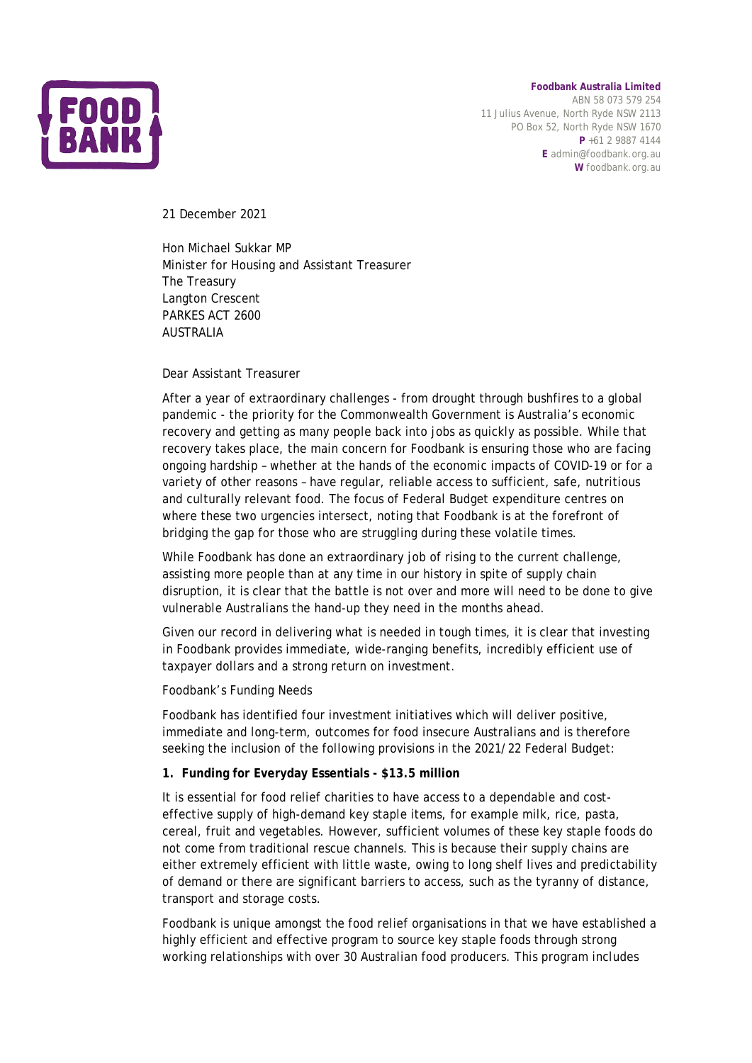

**Foodbank Australia Limited** ABN 58 073 579 254 11 Julius Avenue, North Ryde NSW 2113 PO Box 52, North Ryde NSW 1670 **P** +61 2 9887 4144

**E** admin@foodbank.org.au **W** foodbank.org.au

21 December 2021

Hon Michael Sukkar MP Minister for Housing and Assistant Treasurer The Treasury Langton Crescent PARKES ACT 2600 AUSTRALIA

Dear Assistant Treasurer

After a year of extraordinary challenges - from drought through bushfires to a global pandemic - the priority for the Commonwealth Government is Australia's economic recovery and getting as many people back into jobs as quickly as possible. While that recovery takes place, the main concern for Foodbank is ensuring those who are facing ongoing hardship – whether at the hands of the economic impacts of COVID-19 or for a variety of other reasons – have regular, reliable access to sufficient, safe, nutritious and culturally relevant food. The focus of Federal Budget expenditure centres on where these two urgencies intersect, noting that Foodbank is at the forefront of bridging the gap for those who are struggling during these volatile times.

While Foodbank has done an extraordinary job of rising to the current challenge, assisting more people than at any time in our history in spite of supply chain disruption, it is clear that the battle is not over and more will need to be done to give vulnerable Australians the hand-up they need in the months ahead.

Given our record in delivering what is needed in tough times, it is clear that investing in Foodbank provides immediate, wide-ranging benefits, incredibly efficient use of taxpayer dollars and a strong return on investment.

Foodbank's Funding Needs

Foodbank has identified four investment initiatives which will deliver positive, immediate and long-term, outcomes for food insecure Australians and is therefore seeking the inclusion of the following provisions in the 2021/22 Federal Budget:

## **1. Funding for Everyday Essentials - \$13.5 million**

It is essential for food relief charities to have access to a dependable and costeffective supply of high-demand key staple items, for example milk, rice, pasta, cereal, fruit and vegetables. However, sufficient volumes of these key staple foods do not come from traditional rescue channels. This is because their supply chains are either extremely efficient with little waste, owing to long shelf lives and predictability of demand or there are significant barriers to access, such as the tyranny of distance, transport and storage costs.

Foodbank is unique amongst the food relief organisations in that we have established a highly efficient and effective program to source key staple foods through strong working relationships with over 30 Australian food producers. This program includes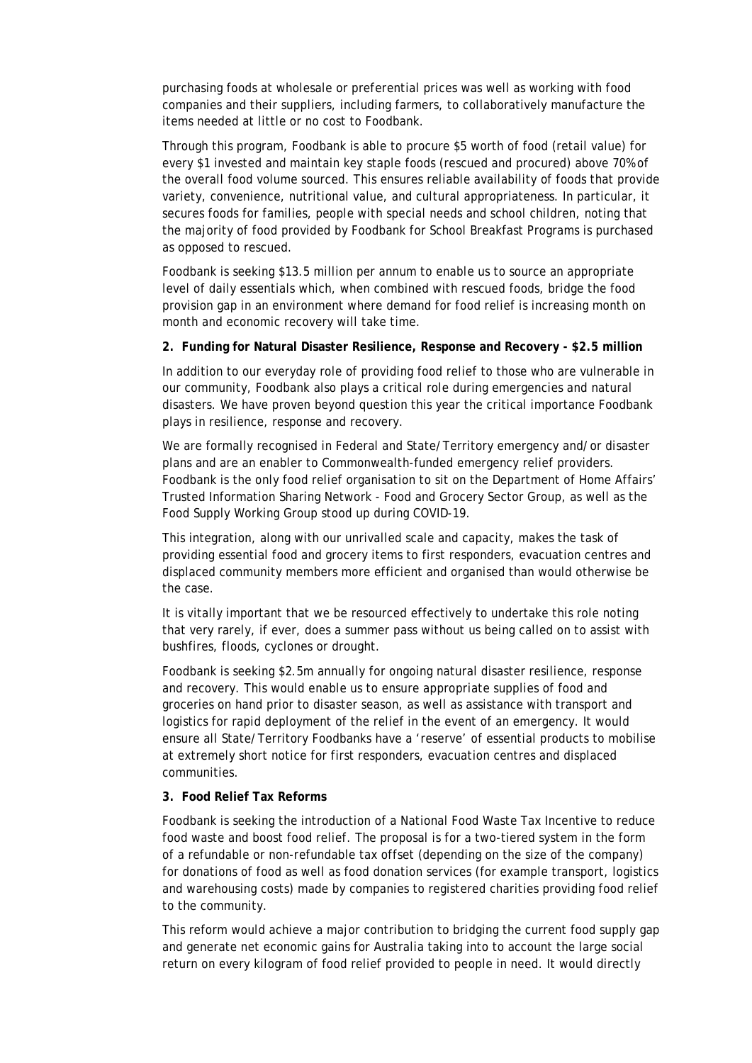purchasing foods at wholesale or preferential prices was well as working with food companies and their suppliers, including farmers, to collaboratively manufacture the items needed at little or no cost to Foodbank.

Through this program, Foodbank is able to procure \$5 worth of food (retail value) for every \$1 invested and maintain key staple foods (rescued and procured) above 70% of the overall food volume sourced. This ensures reliable availability of foods that provide variety, convenience, nutritional value, and cultural appropriateness. In particular, it secures foods for families, people with special needs and school children, noting that the majority of food provided by Foodbank for School Breakfast Programs is purchased as opposed to rescued.

Foodbank is seeking \$13.5 million per annum to enable us to source an appropriate level of daily essentials which, when combined with rescued foods, bridge the food provision gap in an environment where demand for food relief is increasing month on month and economic recovery will take time.

## **2. Funding for Natural Disaster Resilience, Response and Recovery - \$2.5 million**

In addition to our everyday role of providing food relief to those who are vulnerable in our community, Foodbank also plays a critical role during emergencies and natural disasters. We have proven beyond question this year the critical importance Foodbank plays in resilience, response and recovery.

We are formally recognised in Federal and State/Territory emergency and/or disaster plans and are an enabler to Commonwealth-funded emergency relief providers. Foodbank is the only food relief organisation to sit on the Department of Home Affairs' Trusted Information Sharing Network - Food and Grocery Sector Group, as well as the Food Supply Working Group stood up during COVID-19.

This integration, along with our unrivalled scale and capacity, makes the task of providing essential food and grocery items to first responders, evacuation centres and displaced community members more efficient and organised than would otherwise be the case.

It is vitally important that we be resourced effectively to undertake this role noting that very rarely, if ever, does a summer pass without us being called on to assist with bushfires, floods, cyclones or drought.

Foodbank is seeking \$2.5m annually for ongoing natural disaster resilience, response and recovery. This would enable us to ensure appropriate supplies of food and groceries on hand prior to disaster season, as well as assistance with transport and logistics for rapid deployment of the relief in the event of an emergency. It would ensure all State/Territory Foodbanks have a 'reserve' of essential products to mobilise at extremely short notice for first responders, evacuation centres and displaced communities.

## **3. Food Relief Tax Reforms**

Foodbank is seeking the introduction of a National Food Waste Tax Incentive to reduce food waste and boost food relief. The proposal is for a two-tiered system in the form of a refundable or non-refundable tax offset (depending on the size of the company) for donations of food as well as food donation services (for example transport, logistics and warehousing costs) made by companies to registered charities providing food relief to the community.

This reform would achieve a major contribution to bridging the current food supply gap and generate net economic gains for Australia taking into to account the large social return on every kilogram of food relief provided to people in need. It would directly